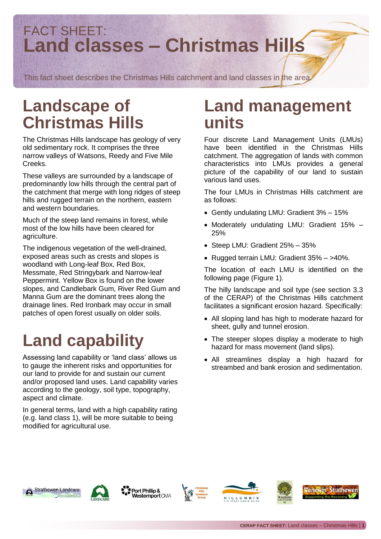### FACT SHEET: **Land classes – Christmas Hills**

This fact sheet describes the Christmas Hills catchment and land classes in the area.

## **Landscape of Christmas Hills**

The Christmas Hills landscape has geology of very old sedimentary rock. It comprises the three narrow valleys of Watsons, Reedy and Five Mile Creeks.

These valleys are surrounded by a landscape of predominantly low hills through the central part of the catchment that merge with long ridges of steep hills and rugged terrain on the northern, eastern and western boundaries.

Much of the steep land remains in forest, while most of the low hills have been cleared for agriculture.

The indigenous vegetation of the well-drained, exposed areas such as crests and slopes is woodland with Long-leaf Box, Red Box, Messmate, Red Stringybark and Narrow-leaf Peppermint. Yellow Box is found on the lower slopes, and Candlebark Gum, River Red Gum and Manna Gum are the dominant trees along the drainage lines. Red Ironbark may occur in small patches of open forest usually on older soils.

## **Land capability**

Assessing land capability or 'land class' allows us to gauge the inherent risks and opportunities for our land to provide for and sustain our current and/or proposed land uses. Land capability varies according to the geology, soil type, topography, aspect and climate.

In general terms, land with a high capability rating (e.g. land class 1), will be more suitable to being modified for agricultural use.

### **Land management units**

Four discrete Land Management Units (LMUs) have been identified in the Christmas Hills catchment. The aggregation of lands with common characteristics into LMUs provides a general picture of the capability of our land to sustain various land uses.

The four LMUs in Christmas Hills catchment are as follows:

- Gently undulating LMU: Gradient 3% 15%
- Moderately undulating LMU: Gradient 15% 25%
- Steep LMU: Gradient 25% 35%
- Rugged terrain LMU: Gradient 35% >40%.

The location of each LMU is identified on the following page (Figure 1).

The hilly landscape and soil type (see section 3.3 of the CERAP) of the Christmas Hills catchment facilitates a significant erosion hazard. Specifically:

- All sloping land has high to moderate hazard for sheet, gully and tunnel erosion.
- The steeper slopes display a moderate to high hazard for mass movement (land slips).
- All streamlines display a high hazard for streambed and bank erosion and sedimentation.





Port Phillip & **Westernport CMA** 







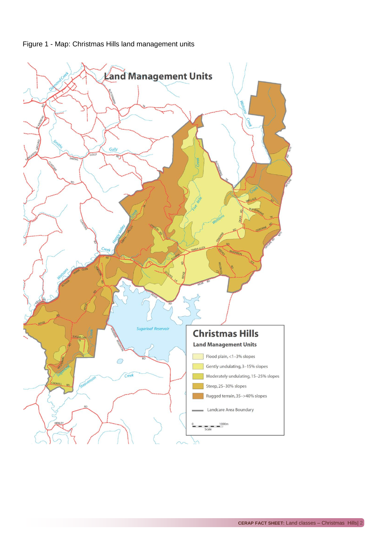

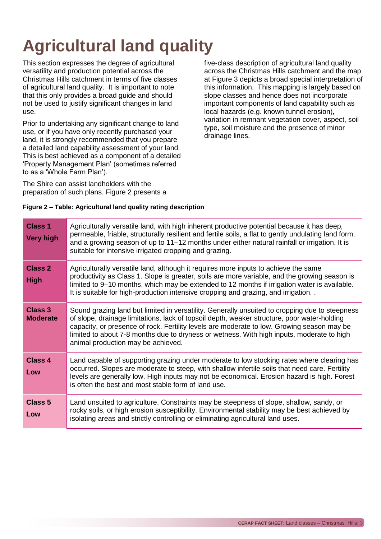# **Agricultural land quality**

This section expresses the degree of agricultural versatility and production potential across the Christmas Hills catchment in terms of five classes of agricultural land quality. It is important to note that this only provides a broad guide and should not be used to justify significant changes in land use.

Prior to undertaking any significant change to land use, or if you have only recently purchased your land, it is strongly recommended that you prepare a detailed land capability assessment of your land. This is best achieved as a component of a detailed 'Property Management Plan' (sometimes referred to as a 'Whole Farm Plan').

The Shire can assist landholders with the preparation of such plans. Figure 2 presents a

five-class description of agricultural land quality across the Christmas Hills catchment and the map at Figure 3 depicts a broad special interpretation of this information. This mapping is largely based on slope classes and hence does not incorporate important components of land capability such as local hazards (e.g. known tunnel erosion), variation in remnant vegetation cover, aspect, soil type, soil moisture and the presence of minor drainage lines.

#### **Figure 2 – Table: Agricultural land quality rating description**

| <b>Class 1</b><br><b>Very high</b> | Agriculturally versatile land, with high inherent productive potential because it has deep,<br>permeable, friable, structurally resilient and fertile soils, a flat to gently undulating land form,<br>and a growing season of up to 11–12 months under either natural rainfall or irrigation. It is<br>suitable for intensive irrigated cropping and grazing.                                                                 |
|------------------------------------|--------------------------------------------------------------------------------------------------------------------------------------------------------------------------------------------------------------------------------------------------------------------------------------------------------------------------------------------------------------------------------------------------------------------------------|
| Class 2<br><b>High</b>             | Agriculturally versatile land, although it requires more inputs to achieve the same<br>productivity as Class 1. Slope is greater, soils are more variable, and the growing season is<br>limited to 9–10 months, which may be extended to 12 months if irrigation water is available.<br>It is suitable for high-production intensive cropping and grazing, and irrigation                                                      |
| Class 3<br><b>Moderate</b>         | Sound grazing land but limited in versatility. Generally unsuited to cropping due to steepness<br>of slope, drainage limitations, lack of topsoil depth, weaker structure, poor water-holding<br>capacity, or presence of rock. Fertility levels are moderate to low. Growing season may be<br>limited to about 7-8 months due to dryness or wetness. With high inputs, moderate to high<br>animal production may be achieved. |
| <b>Class 4</b><br>Low              | Land capable of supporting grazing under moderate to low stocking rates where clearing has<br>occurred. Slopes are moderate to steep, with shallow infertile soils that need care. Fertility<br>levels are generally low. High inputs may not be economical. Erosion hazard is high. Forest<br>is often the best and most stable form of land use.                                                                             |
| <b>Class 5</b><br>Low              | Land unsuited to agriculture. Constraints may be steepness of slope, shallow, sandy, or<br>rocky soils, or high erosion susceptibility. Environmental stability may be best achieved by<br>isolating areas and strictly controlling or eliminating agricultural land uses.                                                                                                                                                     |